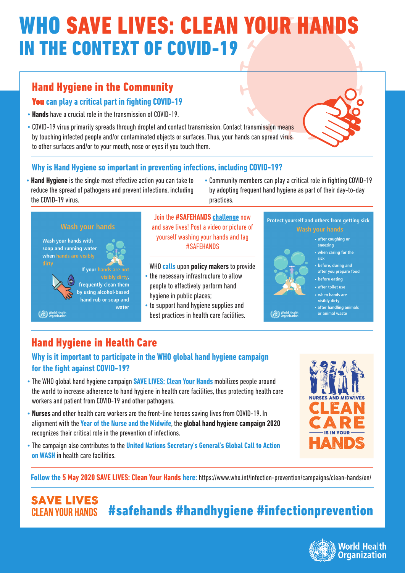# **WHO SAVE LIVES: CLEAN YOUR HAI** IN THE CONTEXT OF COVID-19

## Hand Hygiene in the Community

## You **can play a critical part in fighting COVID-19**

- **Hands** have a crucial role in the transmission of COVID-19.
- COVID-19 virus primarily spreads through droplet and contact transmission. Contact transmission means by touching infected people and/or contaminated objects or surfaces. Thus, your hands can spread virus to other surfaces and/or to your mouth, nose or eyes if you touch them.

## **Why is Hand Hygiene so important in preventing infections, including COVID-19?**

- **Hand Hygiene** is the single most effective action you can take to reduce the spread of pathogens and prevent infections, including the COVID-19 virus.
- Community members can play a critical role in fighting COVID-19 by adopting frequent hand hygiene as part of their day-to-day practices.



Wash your hands with soap and running water when hands are visibly dirty



World Health

## Join the **#SAFEHANDS challenge** now and save lives! Post a video or picture of yourself washing your hands and tag #SAFEHANDS

## WHO <mark>calls</mark> upon **policy makers** to provide

- the necessary infrastructure to allow people to effectively perform hand hygiene in public places;
- to support hand hygiene supplies and best practices in health care facilities.



World Healt

## Protect yourself and others from getting sick **Wash vour hands**

### • after coughing or sneezing

- when caring for the sick
- before, during and
- after you prepare food
- · before eating
- · after toilet use
- when hands are visibly dirty
- after handling animals
- or animal waste

## Hand Hygiene in Health Care

## **Why is it important to participate in the WHO global hand hygiene campaign for the fight against COVID-19?**

- The WHO global hand hygiene campaign **SAVE LIVES: Clean Your Hands** mobilizes people around the world to increase adherence to hand hygiene in health care facilities, thus protecting health care workers and patient from COVID-19 and other pathogens.
- alignment with the <mark>Year of the Nurse and the Midwife</mark>, the **global hand hygiene campaign 2020** • **Nurses** and other health care workers are the front-line heroes saving lives from COVID-19. In recognizes their critical role in the prevention of infections.
- **https://www.washindia.org///www.washindia.org///www.washindia.org///www.washindia.org////www.washindia.org////**<br>• The campaign also contributes to the **United Nations Secretary's General's Global Call to Action on WASH** in health care facilities.



**Follow the 5 May 2020 SAVE LIVES: Clean Your Hands here:**https://www.who.int/infection-prevention/campaigns/clean-hands/en/

**SAVE LIVES** #safehands #handhygiene #infectionprevention **CI FAN YOUR HANDS**